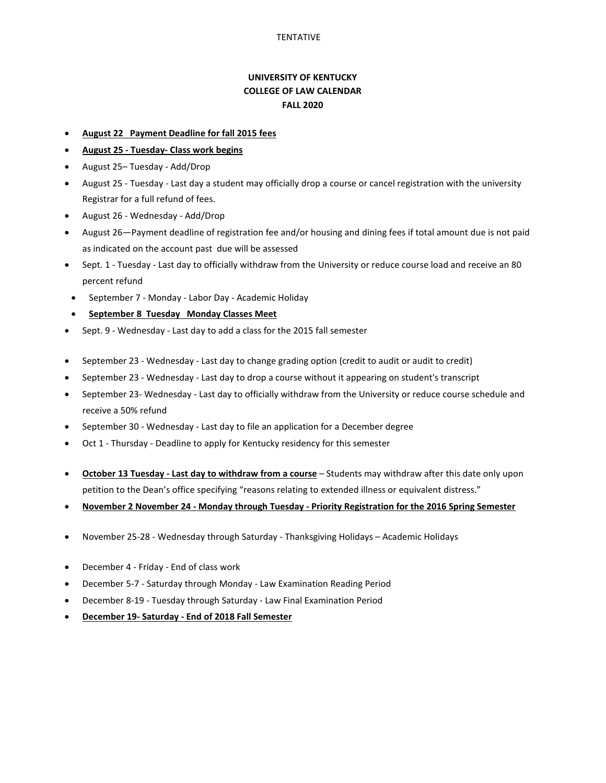## **UNIVERSITY OF KENTUCKY COLLEGE OF LAW CALENDAR FALL 2020**

- **August 22 Payment Deadline for fall 2015 fees**
- **August 25 Tuesday- Class work begins**
- August 25– Tuesday Add/Drop
- August 25 Tuesday Last day a student may officially drop a course or cancel registration with the university Registrar for a full refund of fees.
- August 26 Wednesday Add/Drop
- August 26—Payment deadline of registration fee and/or housing and dining fees if total amount due is not paid as indicated on the account past due will be assessed
- Sept. 1 Tuesday Last day to officially withdraw from the University or reduce course load and receive an 80 percent refund
- September 7 Monday Labor Day Academic Holiday
- **September 8 Tuesday Monday Classes Meet**
- Sept. 9 Wednesday Last day to add a class for the 2015 fall semester
- September 23 Wednesday Last day to change grading option (credit to audit or audit to credit)
- September 23 Wednesday Last day to drop a course without it appearing on student's transcript
- September 23- Wednesday Last day to officially withdraw from the University or reduce course schedule and receive a 50% refund
- September 30 Wednesday Last day to file an application for a December degree
- Oct 1 Thursday Deadline to apply for Kentucky residency for this semester
- **October 13 Tuesday Last day to withdraw from a course** Students may withdraw after this date only upon petition to the Dean's office specifying "reasons relating to extended illness or equivalent distress."
- **November 2 November 24 Monday through Tuesday Priority Registration for the 2016 Spring Semester**
- November 25-28 Wednesday through Saturday Thanksgiving Holidays Academic Holidays
- December 4 Friday End of class work
- December 5-7 Saturday through Monday Law Examination Reading Period
- December 8-19 Tuesday through Saturday Law Final Examination Period
- **December 19- Saturday End of 2018 Fall Semester**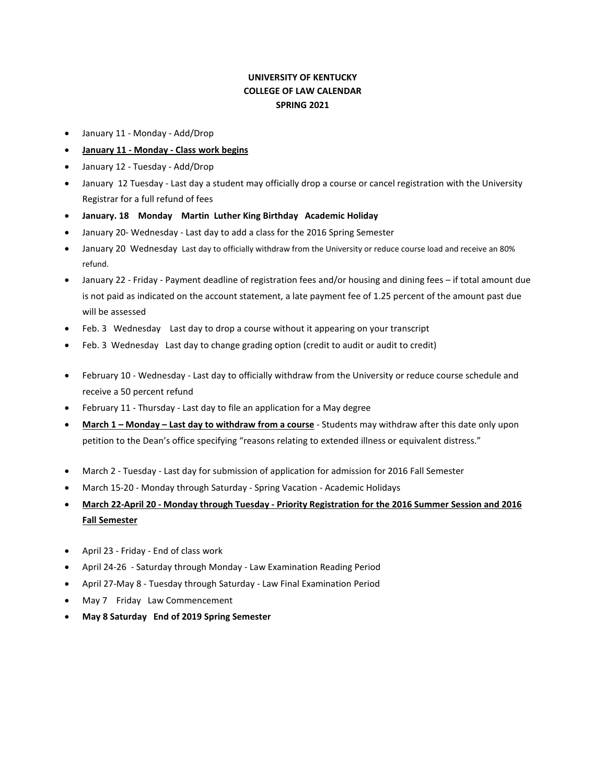## **UNIVERSITY OF KENTUCKY COLLEGE OF LAW CALENDAR SPRING 2021**

- January 11 Monday Add/Drop
- **January 11 - Monday - Class work begins**
- January 12 Tuesday Add/Drop
- January 12 Tuesday Last day a student may officially drop a course or cancel registration with the University Registrar for a full refund of fees
- **January. 18 Monday Martin Luther King Birthday Academic Holiday**
- January 20- Wednesday Last day to add a class for the 2016 Spring Semester
- January 20 Wednesday Last day to officially withdraw from the University or reduce course load and receive an 80% refund.
- January 22 Friday Payment deadline of registration fees and/or housing and dining fees if total amount due is not paid as indicated on the account statement, a late payment fee of 1.25 percent of the amount past due will be assessed
- Feb. 3 Wednesday Last day to drop a course without it appearing on your transcript
- Feb. 3 Wednesday Last day to change grading option (credit to audit or audit to credit)
- February 10 Wednesday Last day to officially withdraw from the University or reduce course schedule and receive a 50 percent refund
- February 11 Thursday Last day to file an application for a May degree
- **March 1 – Monday – Last day to withdraw from a course** Students may withdraw after this date only upon petition to the Dean's office specifying "reasons relating to extended illness or equivalent distress."
- March 2 Tuesday Last day for submission of application for admission for 2016 Fall Semester
- March 15-20 Monday through Saturday Spring Vacation Academic Holidays
- **March 22-April 20 - Monday through Tuesday - Priority Registration for the 2016 Summer Session and 2016 Fall Semester**
- April 23 Friday End of class work
- April 24-26 Saturday through Monday Law Examination Reading Period
- April 27-May 8 Tuesday through Saturday Law Final Examination Period
- May 7 Friday Law Commencement
- **May 8 Saturday End of 2019 Spring Semester**